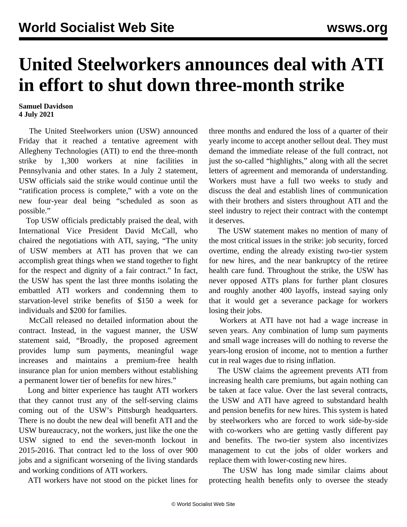## **United Steelworkers announces deal with ATI in effort to shut down three-month strike**

## **Samuel Davidson 4 July 2021**

 The United Steelworkers union (USW) announced Friday that it reached a tentative agreement with Allegheny Technologies (ATI) to end the three-month strike by 1,300 workers at nine facilities in Pennsylvania and other states. In a July 2 statement, USW officials said the strike would continue until the "ratification process is complete," with a vote on the new four-year deal being "scheduled as soon as possible."

 Top USW officials predictably praised the deal, with International Vice President David McCall, who chaired the negotiations with ATI, saying, "The unity of USW members at ATI has proven that we can accomplish great things when we stand together to fight for the respect and dignity of a fair contract." In fact, the USW has spent the last three months isolating the embattled ATI workers and condemning them to starvation-level strike benefits of \$150 a week for individuals and \$200 for families.

 McCall released no detailed information about the contract. Instead, in the vaguest manner, the USW statement said, "Broadly, the proposed agreement provides lump sum payments, meaningful wage increases and maintains a premium-free health insurance plan for union members without establishing a permanent lower tier of benefits for new hires."

 Long and bitter experience has taught ATI workers that they cannot trust any of the self-serving claims coming out of the USW's Pittsburgh headquarters. There is no doubt the new deal will benefit ATI and the USW bureaucracy, not the workers, just like the one the USW signed to end the seven-month lockout in 2015-2016. That contract led to the loss of over 900 jobs and a significant worsening of the living standards and working conditions of ATI workers.

ATI workers have not stood on the picket lines for

three months and endured the loss of a quarter of their yearly income to accept another sellout deal. They must demand the immediate release of the full contract, not just the so-called "highlights," along with all the secret letters of agreement and memoranda of understanding. Workers must have a full two weeks to study and discuss the deal and establish lines of communication with their brothers and sisters throughout ATI and the steel industry to reject their contract with the contempt it deserves.

 The USW statement makes no mention of many of the most critical issues in the strike: job security, forced overtime, ending the already existing two-tier system for new hires, and the near bankruptcy of the retiree health care fund. Throughout the strike, the USW has never opposed ATI's plans for further plant closures and roughly another 400 layoffs, instead saying only that it would get a severance package for workers losing their jobs.

 Workers at ATI have not had a wage increase in seven years. Any combination of lump sum payments and small wage increases will do nothing to reverse the years-long erosion of income, not to mention a further cut in real wages due to rising inflation.

 The USW claims the agreement prevents ATI from increasing health care premiums, but again nothing can be taken at face value. Over the last several contracts, the USW and ATI have agreed to substandard health and pension benefits for new hires. This system is hated by steelworkers who are forced to work side-by-side with co-workers who are getting vastly different pay and benefits. The two-tier system also incentivizes management to cut the jobs of older workers and replace them with lower-costing new hires.

 The USW has long made similar claims about protecting health benefits only to oversee the steady